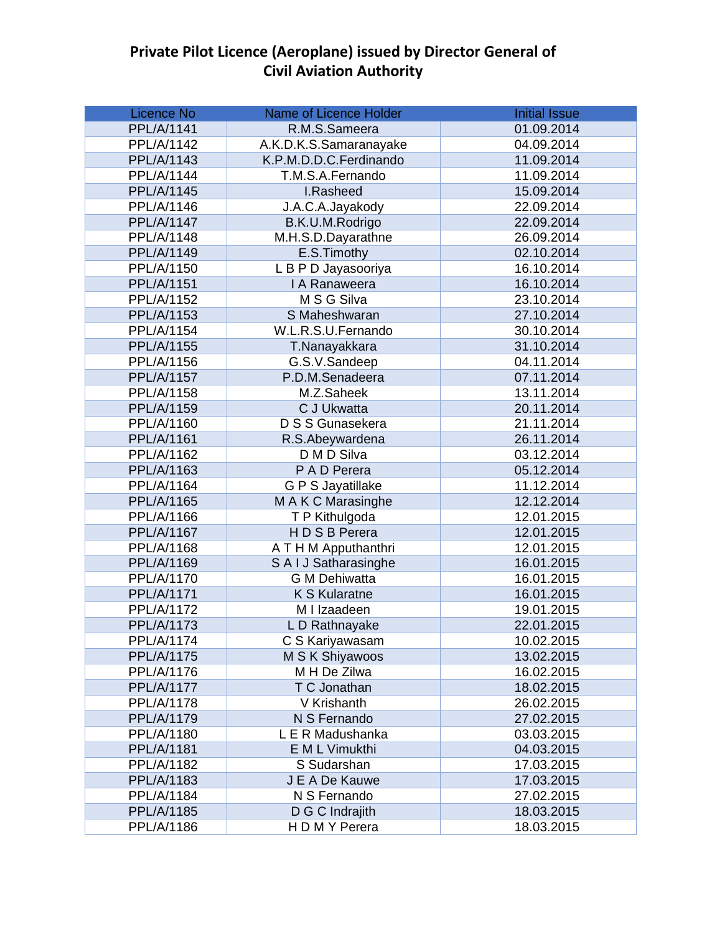| <b>Licence No</b> | <b>Name of Licence Holder</b> | <b>Initial Issue</b> |
|-------------------|-------------------------------|----------------------|
| PPL/A/1141        | R.M.S.Sameera                 | 01.09.2014           |
| PPL/A/1142        | A.K.D.K.S.Samaranayake        | 04.09.2014           |
| PPL/A/1143        | K.P.M.D.D.C.Ferdinando        | 11.09.2014           |
| PPL/A/1144        | T.M.S.A.Fernando              | 11.09.2014           |
| PPL/A/1145        | I.Rasheed                     | 15.09.2014           |
| PPL/A/1146        | J.A.C.A.Jayakody              | 22.09.2014           |
| <b>PPL/A/1147</b> | B.K.U.M.Rodrigo               | 22.09.2014           |
| PPL/A/1148        | M.H.S.D.Dayarathne            | 26.09.2014           |
| PPL/A/1149        | E.S.Timothy                   | 02.10.2014           |
| PPL/A/1150        | L B P D Jayasooriya           | 16.10.2014           |
| PPL/A/1151        | I A Ranaweera                 | 16.10.2014           |
| PPL/A/1152        | M S G Silva                   | 23.10.2014           |
| PPL/A/1153        | S Maheshwaran                 | 27.10.2014           |
| PPL/A/1154        | W.L.R.S.U.Fernando            | 30.10.2014           |
| PPL/A/1155        | T.Nanayakkara                 | 31.10.2014           |
| PPL/A/1156        | G.S.V.Sandeep                 | 04.11.2014           |
| <b>PPL/A/1157</b> | P.D.M.Senadeera               | 07.11.2014           |
| PPL/A/1158        | M.Z.Saheek                    | 13.11.2014           |
| PPL/A/1159        | C J Ukwatta                   | 20.11.2014           |
| PPL/A/1160        | D S S Gunasekera              | 21.11.2014           |
| PPL/A/1161        | R.S.Abeywardena               | 26.11.2014           |
| PPL/A/1162        | D M D Silva                   | 03.12.2014           |
| PPL/A/1163        | P A D Perera                  | 05.12.2014           |
| PPL/A/1164        | G P S Jayatillake             | 11.12.2014           |
| PPL/A/1165        | M A K C Marasinghe            | 12.12.2014           |
| PPL/A/1166        | T P Kithulgoda                | 12.01.2015           |
| PPL/A/1167        | HDSB Perera                   | 12.01.2015           |
| PPL/A/1168        | A T H M Apputhanthri          | 12.01.2015           |
| PPL/A/1169        | S A I J Satharasinghe         | 16.01.2015           |
| PPL/A/1170        | <b>G M Dehiwatta</b>          | 16.01.2015           |
| PPL/A/1171        | <b>K S Kularatne</b>          | 16.01.2015           |
| <b>PPL/A/1172</b> | M I Izaadeen                  | 19.01.2015           |
| PPL/A/1173        | L D Rathnayake                | 22.01.2015           |
| PPL/A/1174        | C S Kariyawasam               | 10.02.2015           |
| <b>PPL/A/1175</b> | M S K Shiyawoos               | 13.02.2015           |
| PPL/A/1176        | M H De Zilwa                  | 16.02.2015           |
| <b>PPL/A/1177</b> | T C Jonathan                  | 18.02.2015           |
| PPL/A/1178        | V Krishanth                   | 26.02.2015           |
| <b>PPL/A/1179</b> | N S Fernando                  | 27.02.2015           |
| PPL/A/1180        | L E R Madushanka              | 03.03.2015           |
| PPL/A/1181        | E M L Vimukthi                | 04.03.2015           |
| PPL/A/1182        | S Sudarshan                   | 17.03.2015           |
| PPL/A/1183        | J E A De Kauwe                | 17.03.2015           |
| PPL/A/1184        | N S Fernando                  | 27.02.2015           |
| PPL/A/1185        | D G C Indrajith               | 18.03.2015           |
| PPL/A/1186        | H D M Y Perera                | 18.03.2015           |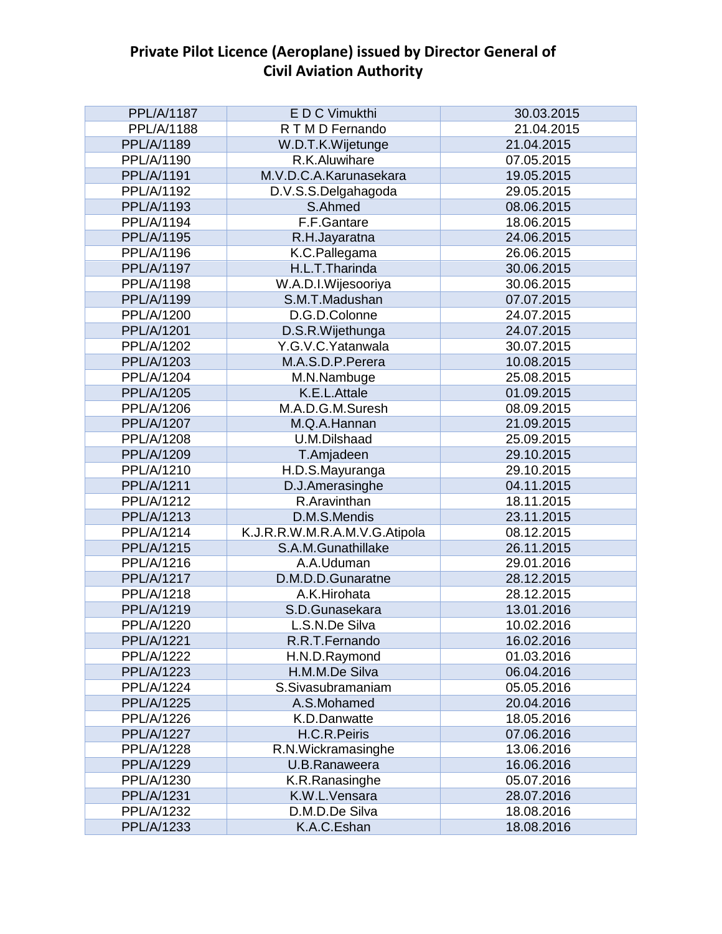| <b>PPL/A/1187</b> | E D C Vimukthi                | 30.03.2015 |
|-------------------|-------------------------------|------------|
| PPL/A/1188        | R T M D Fernando              | 21.04.2015 |
| PPL/A/1189        | W.D.T.K.Wijetunge             | 21.04.2015 |
| PPL/A/1190        | R.K.Aluwihare                 | 07.05.2015 |
| PPL/A/1191        | M.V.D.C.A.Karunasekara        | 19.05.2015 |
| PPL/A/1192        | D.V.S.S.Delgahagoda           | 29.05.2015 |
| PPL/A/1193        | S.Ahmed                       | 08.06.2015 |
| PPL/A/1194        | F.F.Gantare                   | 18.06.2015 |
| PPL/A/1195        | R.H.Jayaratna                 | 24.06.2015 |
| PPL/A/1196        | K.C.Pallegama                 | 26.06.2015 |
| <b>PPL/A/1197</b> | H.L.T.Tharinda                | 30.06.2015 |
| PPL/A/1198        | W.A.D.I.Wijesooriya           | 30.06.2015 |
| PPL/A/1199        | S.M.T.Madushan                | 07.07.2015 |
| PPL/A/1200        | D.G.D.Colonne                 | 24.07.2015 |
| PPL/A/1201        | D.S.R.Wijethunga              | 24.07.2015 |
| PPL/A/1202        | Y.G.V.C. Yatanwala            | 30.07.2015 |
| PPL/A/1203        | M.A.S.D.P.Perera              | 10.08.2015 |
| PPL/A/1204        | M.N.Nambuge                   | 25.08.2015 |
| PPL/A/1205        | K.E.L.Attale                  | 01.09.2015 |
| PPL/A/1206        | M.A.D.G.M.Suresh              | 08.09.2015 |
| PPL/A/1207        | M.Q.A.Hannan                  | 21.09.2015 |
| PPL/A/1208        | U.M.Dilshaad                  | 25.09.2015 |
| PPL/A/1209        | T.Amjadeen                    | 29.10.2015 |
| PPL/A/1210        | H.D.S.Mayuranga               | 29.10.2015 |
| PPL/A/1211        | D.J.Amerasinghe               | 04.11.2015 |
| PPL/A/1212        | R.Aravinthan                  | 18.11.2015 |
| PPL/A/1213        | D.M.S.Mendis                  | 23.11.2015 |
| <b>PPL/A/1214</b> | K.J.R.R.W.M.R.A.M.V.G.Atipola | 08.12.2015 |
| PPL/A/1215        | S.A.M.Gunathillake            | 26.11.2015 |
| PPL/A/1216        | A.A.Uduman                    | 29.01.2016 |
| <b>PPL/A/1217</b> | D.M.D.D.Gunaratne             | 28.12.2015 |
| PPL/A/1218        | A.K.Hirohata                  | 28.12.2015 |
| PPL/A/1219        | S.D.Gunasekara                | 13.01.2016 |
| PPL/A/1220        | L.S.N.De Silva                | 10.02.2016 |
| <b>PPL/A/1221</b> | R.R.T.Fernando                | 16.02.2016 |
| <b>PPL/A/1222</b> | H.N.D.Raymond                 | 01.03.2016 |
| PPL/A/1223        | H.M.M.De Silva                | 06.04.2016 |
| <b>PPL/A/1224</b> | S.Sivasubramaniam             | 05.05.2016 |
| <b>PPL/A/1225</b> | A.S.Mohamed                   | 20.04.2016 |
| PPL/A/1226        | K.D.Danwatte                  | 18.05.2016 |
| <b>PPL/A/1227</b> | H.C.R.Peiris                  | 07.06.2016 |
| PPL/A/1228        | R.N.Wickramasinghe            | 13.06.2016 |
| PPL/A/1229        | U.B.Ranaweera                 | 16.06.2016 |
| PPL/A/1230        | K.R.Ranasinghe                | 05.07.2016 |
| PPL/A/1231        | K.W.L.Vensara                 | 28.07.2016 |
| PPL/A/1232        | D.M.D.De Silva                | 18.08.2016 |
| PPL/A/1233        | K.A.C.Eshan                   | 18.08.2016 |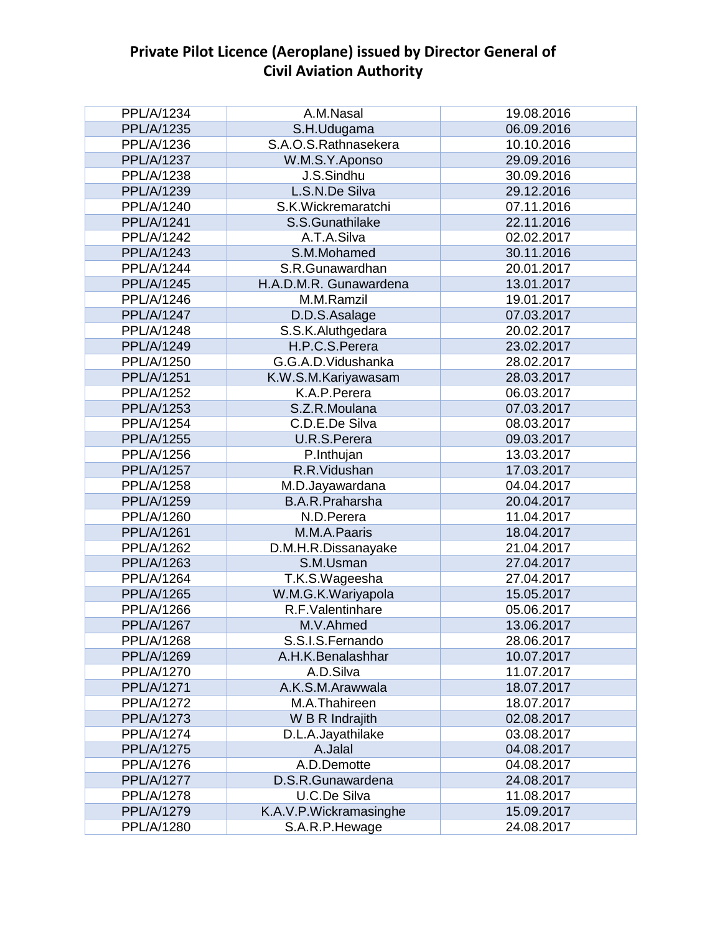| PPL/A/1234        | A.M.Nasal              | 19.08.2016 |
|-------------------|------------------------|------------|
| PPL/A/1235        | S.H.Udugama            | 06.09.2016 |
| PPL/A/1236        | S.A.O.S.Rathnasekera   | 10.10.2016 |
| <b>PPL/A/1237</b> | W.M.S.Y.Aponso         | 29.09.2016 |
| PPL/A/1238        | J.S.Sindhu             | 30.09.2016 |
| PPL/A/1239        | L.S.N.De Silva         | 29.12.2016 |
| PPL/A/1240        | S.K.Wickremaratchi     | 07.11.2016 |
| <b>PPL/A/1241</b> | S.S.Gunathilake        | 22.11.2016 |
| <b>PPL/A/1242</b> | A.T.A.Silva            | 02.02.2017 |
| PPL/A/1243        | S.M.Mohamed            | 30.11.2016 |
| <b>PPL/A/1244</b> | S.R.Gunawardhan        | 20.01.2017 |
| <b>PPL/A/1245</b> | H.A.D.M.R. Gunawardena | 13.01.2017 |
| PPL/A/1246        | M.M.Ramzil             | 19.01.2017 |
| <b>PPL/A/1247</b> | D.D.S.Asalage          | 07.03.2017 |
| PPL/A/1248        | S.S.K.Aluthgedara      | 20.02.2017 |
| PPL/A/1249        | H.P.C.S.Perera         | 23.02.2017 |
| PPL/A/1250        | G.G.A.D.Vidushanka     | 28.02.2017 |
| PPL/A/1251        | K.W.S.M.Kariyawasam    | 28.03.2017 |
| PPL/A/1252        | K.A.P.Perera           | 06.03.2017 |
| PPL/A/1253        | S.Z.R.Moulana          | 07.03.2017 |
| PPL/A/1254        | C.D.E.De Silva         | 08.03.2017 |
| PPL/A/1255        | U.R.S.Perera           | 09.03.2017 |
| PPL/A/1256        | P.Inthujan             | 13.03.2017 |
| <b>PPL/A/1257</b> | R.R.Vidushan           | 17.03.2017 |
| PPL/A/1258        | M.D.Jayawardana        | 04.04.2017 |
| <b>PPL/A/1259</b> | <b>B.A.R.Praharsha</b> | 20.04.2017 |
| PPL/A/1260        | N.D.Perera             | 11.04.2017 |
| PPL/A/1261        | M.M.A.Paaris           | 18.04.2017 |
| PPL/A/1262        | D.M.H.R.Dissanayake    | 21.04.2017 |
| PPL/A/1263        | S.M.Usman              | 27.04.2017 |
| PPL/A/1264        | T.K.S.Wageesha         | 27.04.2017 |
| PPL/A/1265        | W.M.G.K.Wariyapola     | 15.05.2017 |
| PPL/A/1266        | R.F.Valentinhare       | 05.06.2017 |
| <b>PPL/A/1267</b> | M.V.Ahmed              | 13.06.2017 |
| PPL/A/1268        | S.S.I.S.Fernando       | 28.06.2017 |
| PPL/A/1269        | A.H.K.Benalashhar      | 10.07.2017 |
| PPL/A/1270        | A.D.Silva              | 11.07.2017 |
| <b>PPL/A/1271</b> | A.K.S.M.Arawwala       | 18.07.2017 |
| PPL/A/1272        | M.A.Thahireen          | 18.07.2017 |
| PPL/A/1273        | W B R Indrajith        | 02.08.2017 |
| <b>PPL/A/1274</b> | D.L.A.Jayathilake      | 03.08.2017 |
| PPL/A/1275        | A.Jalal                | 04.08.2017 |
| PPL/A/1276        | A.D.Demotte            | 04.08.2017 |
| <b>PPL/A/1277</b> | D.S.R.Gunawardena      | 24.08.2017 |
| PPL/A/1278        | U.C.De Silva           | 11.08.2017 |
| <b>PPL/A/1279</b> | K.A.V.P.Wickramasinghe | 15.09.2017 |
| PPL/A/1280        | S.A.R.P.Hewage         | 24.08.2017 |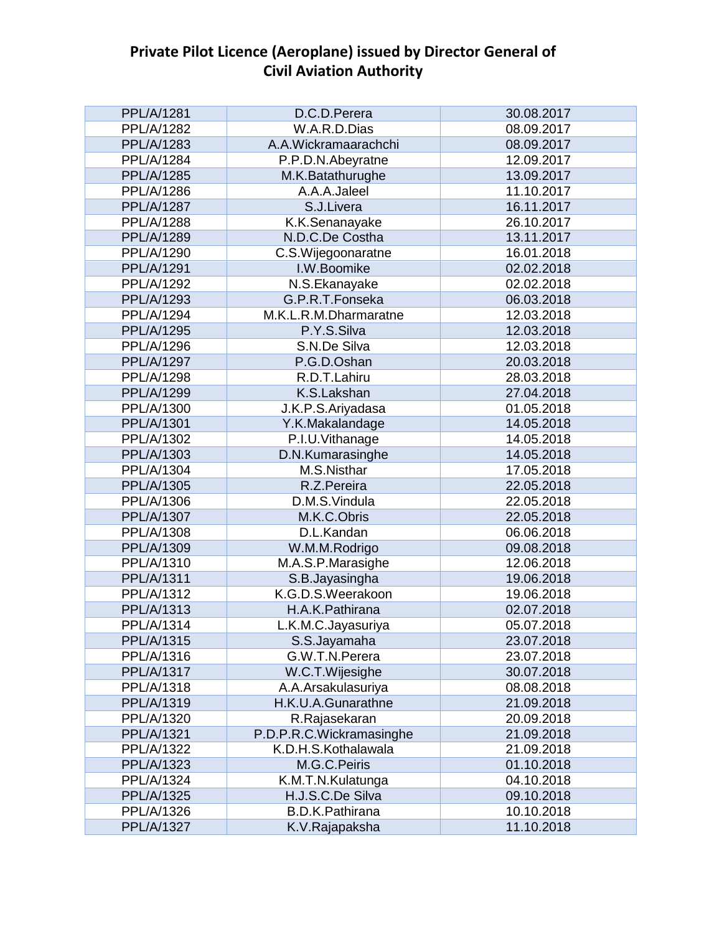| <b>PPL/A/1281</b> | D.C.D.Perera             | 30.08.2017 |
|-------------------|--------------------------|------------|
| PPL/A/1282        | W.A.R.D.Dias             | 08.09.2017 |
| PPL/A/1283        | A.A.Wickramaarachchi     | 08.09.2017 |
| PPL/A/1284        | P.P.D.N.Abeyratne        | 12.09.2017 |
| <b>PPL/A/1285</b> | M.K.Batathurughe         | 13.09.2017 |
| PPL/A/1286        | A.A.A.Jaleel             | 11.10.2017 |
| <b>PPL/A/1287</b> | S.J.Livera               | 16.11.2017 |
| PPL/A/1288        | K.K.Senanayake           | 26.10.2017 |
| PPL/A/1289        | N.D.C.De Costha          | 13.11.2017 |
| PPL/A/1290        | C.S.Wijegoonaratne       | 16.01.2018 |
| PPL/A/1291        | I.W.Boomike              | 02.02.2018 |
| PPL/A/1292        | N.S.Ekanayake            | 02.02.2018 |
| PPL/A/1293        | G.P.R.T.Fonseka          | 06.03.2018 |
| PPL/A/1294        | M.K.L.R.M.Dharmaratne    | 12.03.2018 |
| PPL/A/1295        | P.Y.S.Silva              | 12.03.2018 |
| PPL/A/1296        | S.N.De Silva             | 12.03.2018 |
| PPL/A/1297        | P.G.D.Oshan              | 20.03.2018 |
| PPL/A/1298        | R.D.T.Lahiru             | 28.03.2018 |
| PPL/A/1299        | K.S.Lakshan              | 27.04.2018 |
| PPL/A/1300        | J.K.P.S.Ariyadasa        | 01.05.2018 |
| PPL/A/1301        | Y.K.Makalandage          | 14.05.2018 |
| PPL/A/1302        | P.I.U.Vithanage          | 14.05.2018 |
| PPL/A/1303        | D.N.Kumarasinghe         | 14.05.2018 |
| PPL/A/1304        | M.S.Nisthar              | 17.05.2018 |
| PPL/A/1305        | R.Z.Pereira              | 22.05.2018 |
| PPL/A/1306        | D.M.S.Vindula            | 22.05.2018 |
| <b>PPL/A/1307</b> | M.K.C.Obris              | 22.05.2018 |
| PPL/A/1308        | D.L.Kandan               | 06.06.2018 |
| PPL/A/1309        | W.M.M.Rodrigo            | 09.08.2018 |
| PPL/A/1310        | M.A.S.P.Marasighe        | 12.06.2018 |
| PPL/A/1311        | S.B.Jayasingha           | 19.06.2018 |
| PPL/A/1312        | K.G.D.S.Weerakoon        | 19.06.2018 |
| PPL/A/1313        | H.A.K.Pathirana          | 02.07.2018 |
| PPL/A/1314        | L.K.M.C.Jayasuriya       | 05.07.2018 |
| PPL/A/1315        | S.S.Jayamaha             | 23.07.2018 |
| PPL/A/1316        | G.W.T.N.Perera           | 23.07.2018 |
| PPL/A/1317        | W.C.T.Wijesighe          | 30.07.2018 |
| PPL/A/1318        | A.A.Arsakulasuriya       | 08.08.2018 |
| PPL/A/1319        | H.K.U.A.Gunarathne       | 21.09.2018 |
| PPL/A/1320        | R.Rajasekaran            | 20.09.2018 |
| PPL/A/1321        | P.D.P.R.C.Wickramasinghe | 21.09.2018 |
| PPL/A/1322        | K.D.H.S.Kothalawala      | 21.09.2018 |
| PPL/A/1323        | M.G.C.Peiris             | 01.10.2018 |
| PPL/A/1324        | K.M.T.N.Kulatunga        | 04.10.2018 |
| PPL/A/1325        | H.J.S.C.De Silva         | 09.10.2018 |
| PPL/A/1326        | <b>B.D.K.Pathirana</b>   | 10.10.2018 |
| PPL/A/1327        | K.V.Rajapaksha           | 11.10.2018 |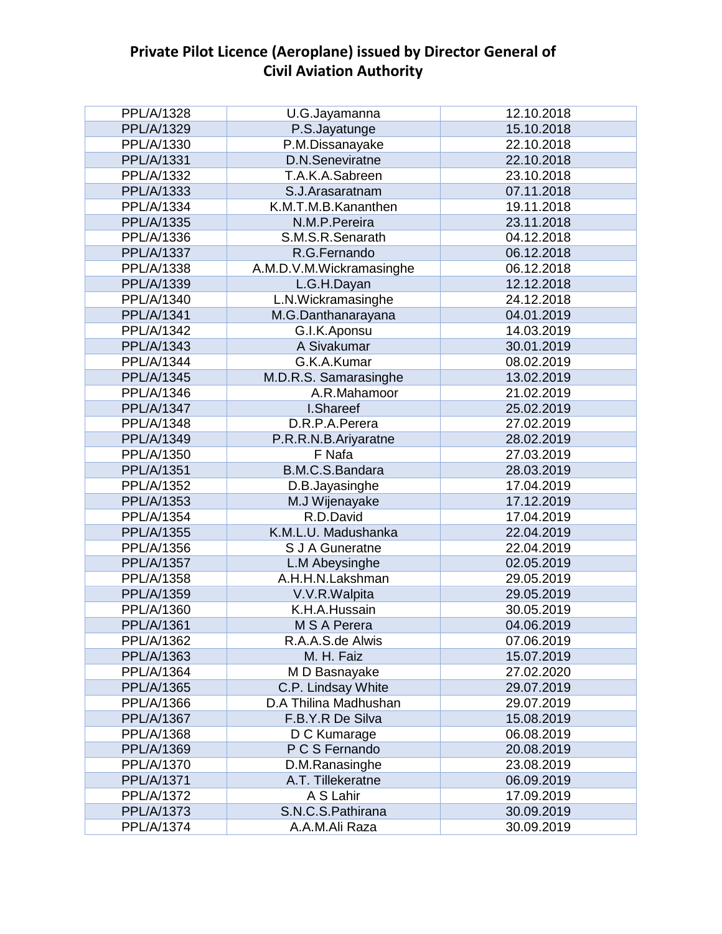| PPL/A/1328        | U.G.Jayamanna            | 12.10.2018 |
|-------------------|--------------------------|------------|
| PPL/A/1329        | P.S.Jayatunge            | 15.10.2018 |
| PPL/A/1330        | P.M.Dissanayake          | 22.10.2018 |
| PPL/A/1331        | D.N.Seneviratne          | 22.10.2018 |
| PPL/A/1332        | T.A.K.A.Sabreen          | 23.10.2018 |
| PPL/A/1333        | S.J.Arasaratnam          | 07.11.2018 |
| PPL/A/1334        | K.M.T.M.B.Kananthen      | 19.11.2018 |
| PPL/A/1335        | N.M.P.Pereira            | 23.11.2018 |
| PPL/A/1336        | S.M.S.R.Senarath         | 04.12.2018 |
| PPL/A/1337        | R.G.Fernando             | 06.12.2018 |
| PPL/A/1338        | A.M.D.V.M.Wickramasinghe | 06.12.2018 |
| PPL/A/1339        | L.G.H.Dayan              | 12.12.2018 |
| PPL/A/1340        | L.N.Wickramasinghe       | 24.12.2018 |
| PPL/A/1341        | M.G.Danthanarayana       | 04.01.2019 |
| PPL/A/1342        | G.I.K.Aponsu             | 14.03.2019 |
| PPL/A/1343        | A Sivakumar              | 30.01.2019 |
| PPL/A/1344        | G.K.A.Kumar              | 08.02.2019 |
| PPL/A/1345        | M.D.R.S. Samarasinghe    | 13.02.2019 |
| PPL/A/1346        | A.R.Mahamoor             | 21.02.2019 |
| <b>PPL/A/1347</b> | I.Shareef                | 25.02.2019 |
| PPL/A/1348        | D.R.P.A.Perera           | 27.02.2019 |
| PPL/A/1349        | P.R.R.N.B.Ariyaratne     | 28.02.2019 |
| PPL/A/1350        | F Nafa                   | 27.03.2019 |
| <b>PPL/A/1351</b> | B.M.C.S.Bandara          | 28.03.2019 |
| PPL/A/1352        | D.B.Jayasinghe           | 17.04.2019 |
| PPL/A/1353        | M.J Wijenayake           | 17.12.2019 |
| PPL/A/1354        | R.D.David                | 17.04.2019 |
| PPL/A/1355        | K.M.L.U. Madushanka      | 22.04.2019 |
| PPL/A/1356        | S J A Guneratne          | 22.04.2019 |
| PPL/A/1357        | L.M Abeysinghe           | 02.05.2019 |
| PPL/A/1358        | A.H.H.N.Lakshman         | 29.05.2019 |
| PPL/A/1359        | V.V.R.Walpita            | 29.05.2019 |
| PPL/A/1360        | K.H.A.Hussain            | 30.05.2019 |
| PPL/A/1361        | M S A Perera             | 04.06.2019 |
| PPL/A/1362        | R.A.A.S.de Alwis         | 07.06.2019 |
| PPL/A/1363        | M. H. Faiz               | 15.07.2019 |
| PPL/A/1364        | M D Basnayake            | 27.02.2020 |
| PPL/A/1365        | C.P. Lindsay White       | 29.07.2019 |
| PPL/A/1366        | D.A Thilina Madhushan    | 29.07.2019 |
| PPL/A/1367        | F.B.Y.R De Silva         | 15.08.2019 |
| PPL/A/1368        | D C Kumarage             | 06.08.2019 |
| PPL/A/1369        | P C S Fernando           | 20.08.2019 |
| PPL/A/1370        | D.M.Ranasinghe           | 23.08.2019 |
| PPL/A/1371        | A.T. Tillekeratne        | 06.09.2019 |
| PPL/A/1372        | A S Lahir                | 17.09.2019 |
| PPL/A/1373        | S.N.C.S.Pathirana        | 30.09.2019 |
| PPL/A/1374        | A.A.M.Ali Raza           | 30.09.2019 |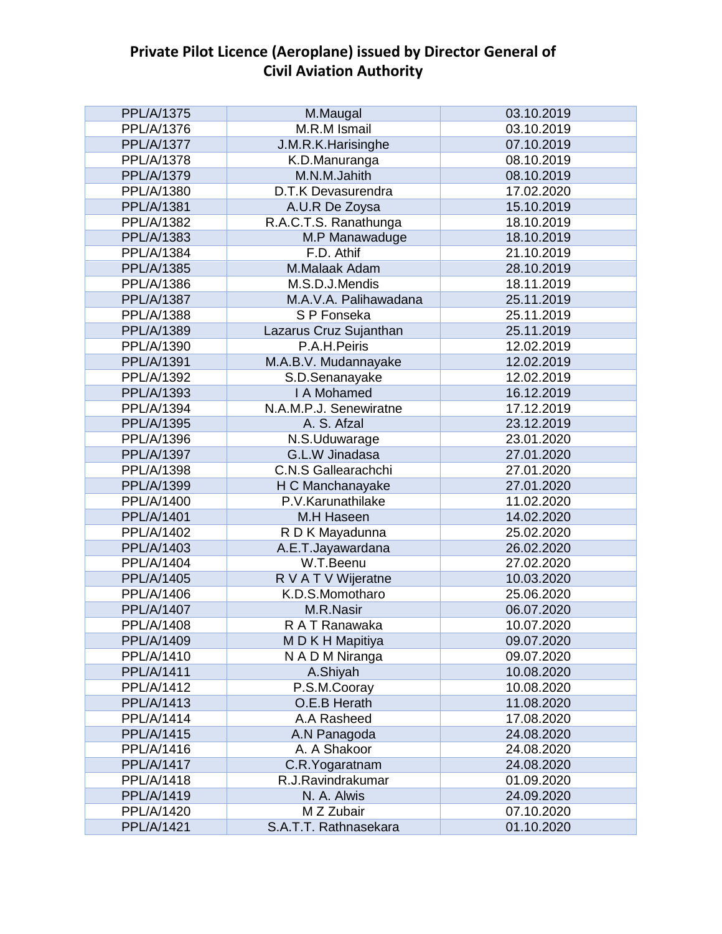| <b>PPL/A/1375</b> | M.Maugal               | 03.10.2019 |
|-------------------|------------------------|------------|
| PPL/A/1376        | M.R.M Ismail           | 03.10.2019 |
| <b>PPL/A/1377</b> | J.M.R.K.Harisinghe     | 07.10.2019 |
| PPL/A/1378        | K.D.Manuranga          | 08.10.2019 |
| PPL/A/1379        | M.N.M.Jahith           | 08.10.2019 |
| PPL/A/1380        | D.T.K Devasurendra     | 17.02.2020 |
| PPL/A/1381        | A.U.R De Zoysa         | 15.10.2019 |
| PPL/A/1382        | R.A.C.T.S. Ranathunga  | 18.10.2019 |
| PPL/A/1383        | M.P Manawaduge         | 18.10.2019 |
| PPL/A/1384        | F.D. Athif             | 21.10.2019 |
| PPL/A/1385        | M.Malaak Adam          | 28.10.2019 |
| PPL/A/1386        | M.S.D.J.Mendis         | 18.11.2019 |
| PPL/A/1387        | M.A.V.A. Palihawadana  | 25.11.2019 |
| PPL/A/1388        | S P Fonseka            | 25.11.2019 |
| PPL/A/1389        | Lazarus Cruz Sujanthan | 25.11.2019 |
| PPL/A/1390        | P.A.H.Peiris           | 12.02.2019 |
| PPL/A/1391        | M.A.B.V. Mudannayake   | 12.02.2019 |
| PPL/A/1392        | S.D.Senanayake         | 12.02.2019 |
| PPL/A/1393        | I A Mohamed            | 16.12.2019 |
| PPL/A/1394        | N.A.M.P.J. Senewiratne | 17.12.2019 |
| PPL/A/1395        | A. S. Afzal            | 23.12.2019 |
| PPL/A/1396        | N.S.Uduwarage          | 23.01.2020 |
| PPL/A/1397        | G.L.W Jinadasa         | 27.01.2020 |
| PPL/A/1398        | C.N.S Gallearachchi    | 27.01.2020 |
| PPL/A/1399        | H C Manchanayake       | 27.01.2020 |
| PPL/A/1400        | P.V.Karunathilake      | 11.02.2020 |
| PPL/A/1401        | M.H Haseen             | 14.02.2020 |
| PPL/A/1402        | R D K Mayadunna        | 25.02.2020 |
| PPL/A/1403        | A.E.T.Jayawardana      | 26.02.2020 |
| PPL/A/1404        | W.T.Beenu              | 27.02.2020 |
| PPL/A/1405        | R V A T V Wijeratne    | 10.03.2020 |
| PPL/A/1406        | K.D.S.Momotharo        | 25.06.2020 |
| PPL/A/1407        | M.R.Nasir              | 06.07.2020 |
| PPL/A/1408        | R A T Ranawaka         | 10.07.2020 |
| PPL/A/1409        | M D K H Mapitiya       | 09.07.2020 |
| PPL/A/1410        | N A D M Niranga        | 09.07.2020 |
| PPL/A/1411        | A.Shiyah               | 10.08.2020 |
| PPL/A/1412        | P.S.M.Cooray           | 10.08.2020 |
| PPL/A/1413        | O.E.B Herath           | 11.08.2020 |
| PPL/A/1414        | A.A Rasheed            | 17.08.2020 |
| <b>PPL/A/1415</b> | A.N Panagoda           | 24.08.2020 |
| PPL/A/1416        | A. A Shakoor           | 24.08.2020 |
| <b>PPL/A/1417</b> | C.R. Yogaratnam        | 24.08.2020 |
| PPL/A/1418        | R.J.Ravindrakumar      | 01.09.2020 |
| PPL/A/1419        | N. A. Alwis            | 24.09.2020 |
| PPL/A/1420        | M Z Zubair             | 07.10.2020 |
| PPL/A/1421        | S.A.T.T. Rathnasekara  | 01.10.2020 |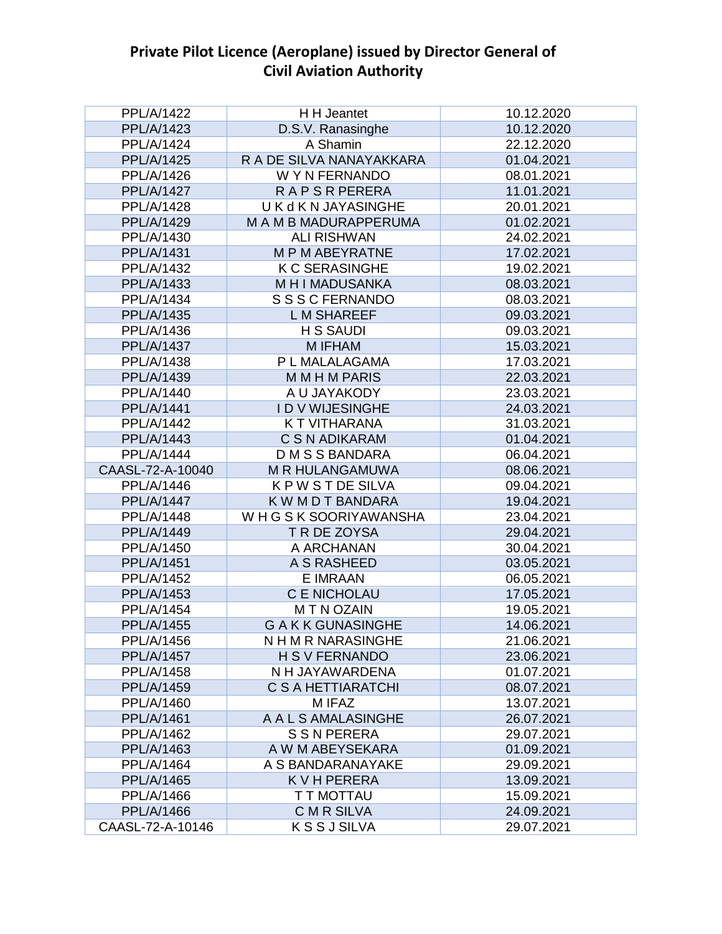| <b>PPL/A/1422</b> | H H Jeantet              | 10.12.2020 |
|-------------------|--------------------------|------------|
| <b>PPL/A/1423</b> | D.S.V. Ranasinghe        | 10.12.2020 |
| PPL/A/1424        | A Shamin                 | 22.12.2020 |
| <b>PPL/A/1425</b> | R A DE SILVA NANAYAKKARA | 01.04.2021 |
| PPL/A/1426        | W Y N FERNANDO           | 08.01.2021 |
| <b>PPL/A/1427</b> | <b>RAPSRPERERA</b>       | 11.01.2021 |
| <b>PPL/A/1428</b> | U K d K N JAYASINGHE     | 20.01.2021 |
| PPL/A/1429        | M A M B MADURAPPERUMA    | 01.02.2021 |
| PPL/A/1430        | <b>ALI RISHWAN</b>       | 24.02.2021 |
| PPL/A/1431        | <b>MPMABEYRATNE</b>      | 17.02.2021 |
| PPL/A/1432        | <b>K C SERASINGHE</b>    | 19.02.2021 |
| PPL/A/1433        | M H I MADUSANKA          | 08.03.2021 |
| PPL/A/1434        | S S S C FERNANDO         | 08.03.2021 |
| <b>PPL/A/1435</b> | <b>LM SHAREEF</b>        | 09.03.2021 |
| PPL/A/1436        | <b>H S SAUDI</b>         | 09.03.2021 |
| <b>PPL/A/1437</b> | M IFHAM                  | 15.03.2021 |
| PPL/A/1438        | P L MALALAGAMA           | 17.03.2021 |
| PPL/A/1439        | <b>MMHMPARIS</b>         | 22.03.2021 |
| PPL/A/1440        | A U JAYAKODY             | 23.03.2021 |
| <b>PPL/A/1441</b> | <b>IDVWIJESINGHE</b>     | 24.03.2021 |
| PPL/A/1442        | K T VITHARANA            | 31.03.2021 |
| <b>PPL/A/1443</b> | C S N ADIKARAM           | 01.04.2021 |
| <b>PPL/A/1444</b> | <b>DMSSBANDARA</b>       | 06.04.2021 |
| CAASL-72-A-10040  | M R HULANGAMUWA          | 08.06.2021 |
| PPL/A/1446        | <b>KPWSTDESILVA</b>      | 09.04.2021 |
| <b>PPL/A/1447</b> | K W M D T BANDARA        | 19.04.2021 |
| PPL/A/1448        | WHGSK SOORIYAWANSHA      | 23.04.2021 |
| PPL/A/1449        | T R DE ZOYSA             | 29.04.2021 |
| PPL/A/1450        | A ARCHANAN               | 30.04.2021 |
| <b>PPL/A/1451</b> | A S RASHEED              | 03.05.2021 |
| <b>PPL/A/1452</b> | E IMRAAN                 | 06.05.2021 |
| PPL/A/1453        | <b>C E NICHOLAU</b>      | 17.05.2021 |
| <b>PPL/A/1454</b> | <b>MTNOZAIN</b>          | 19.05.2021 |
| <b>PPL/A/1455</b> | <b>GAKK GUNASINGHE</b>   | 14.06.2021 |
| PPL/A/1456        | N H M R NARASINGHE       | 21.06.2021 |
| <b>PPL/A/1457</b> | <b>H S V FERNANDO</b>    | 23.06.2021 |
| PPL/A/1458        | N H JAYAWARDENA          | 01.07.2021 |
| PPL/A/1459        | C S A HETTIARATCHI       | 08.07.2021 |
| PPL/A/1460        | M IFAZ                   | 13.07.2021 |
| <b>PPL/A/1461</b> | A A L S AMALASINGHE      | 26.07.2021 |
| <b>PPL/A/1462</b> | <b>S S N PERERA</b>      | 29.07.2021 |
| PPL/A/1463        | A W M ABEYSEKARA         | 01.09.2021 |
| <b>PPL/A/1464</b> | A S BANDARANAYAKE        | 29.09.2021 |
| PPL/A/1465        | <b>KVHPERERA</b>         | 13.09.2021 |
| PPL/A/1466        | T T MOTTAU               | 15.09.2021 |
| PPL/A/1466        | <b>CMR SILVA</b>         | 24.09.2021 |
| CAASL-72-A-10146  | <b>KSSJSILVA</b>         | 29.07.2021 |